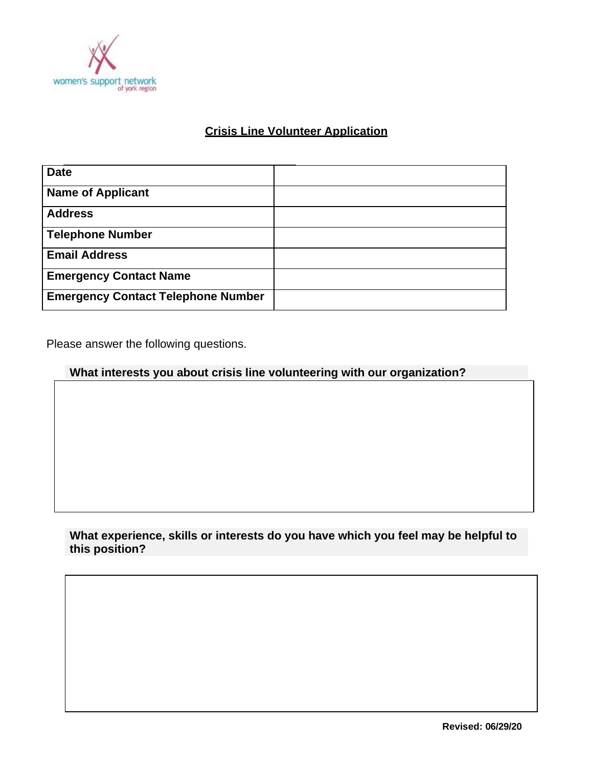

# **Crisis Line Volunteer Application**

| <b>Date</b>                               |  |
|-------------------------------------------|--|
| <b>Name of Applicant</b>                  |  |
| <b>Address</b>                            |  |
| <b>Telephone Number</b>                   |  |
| <b>Email Address</b>                      |  |
| <b>Emergency Contact Name</b>             |  |
| <b>Emergency Contact Telephone Number</b> |  |

Please answer the following questions.

## **What interests you about crisis line volunteering with our organization?**

### **What experience, skills or interests do you have which you feel may be helpful to this position?**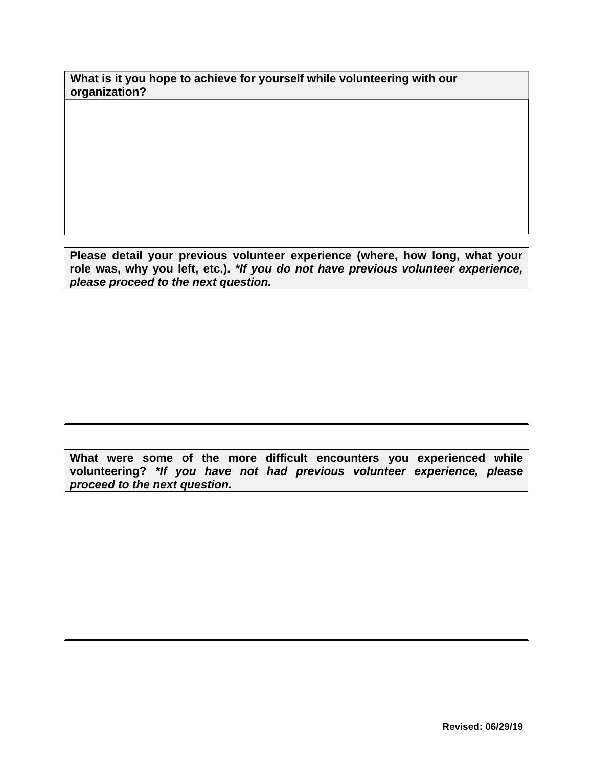**What is it you hope to achieve for yourself while volunteering with our organization?**

**Please detail your previous volunteer experience (where, how long, what your role was, why you left, etc.).** *\*If you do not have previous volunteer experience, please proceed to the next question.*

**What were some of the more difficult encounters you experienced while volunteering?** *\*If you have not had previous volunteer experience, please proceed to the next question.*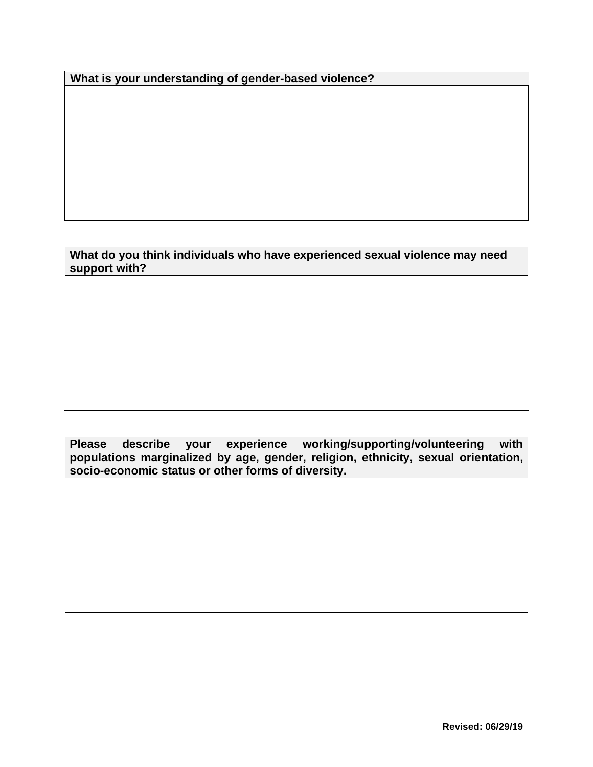**What is your understanding of gender-based violence?**

**What do you think individuals who have experienced sexual violence may need support with?**

**Please describe your experience working/supporting/volunteering with populations marginalized by age, gender, religion, ethnicity, sexual orientation, socio-economic status or other forms of diversity.**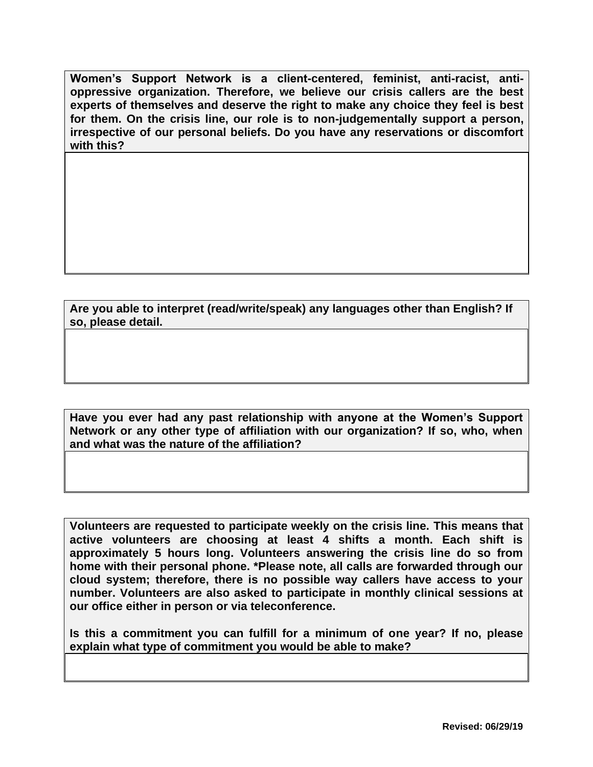**Women's Support Network is a client-centered, feminist, anti-racist, antioppressive organization. Therefore, we believe our crisis callers are the best experts of themselves and deserve the right to make any choice they feel is best for them. On the crisis line, our role is to non-judgementally support a person, irrespective of our personal beliefs. Do you have any reservations or discomfort with this?**

**Are you able to interpret (read/write/speak) any languages other than English? If so, please detail.**

**Have you ever had any past relationship with anyone at the Women's Support Network or any other type of affiliation with our organization? If so, who, when and what was the nature of the affiliation?**

**Volunteers are requested to participate weekly on the crisis line. This means that active volunteers are choosing at least 4 shifts a month. Each shift is approximately 5 hours long. Volunteers answering the crisis line do so from home with their personal phone. \*Please note, all calls are forwarded through our cloud system; therefore, there is no possible way callers have access to your number. Volunteers are also asked to participate in monthly clinical sessions at our office either in person or via teleconference.**

**Is this a commitment you can fulfill for a minimum of one year? If no, please explain what type of commitment you would be able to make?**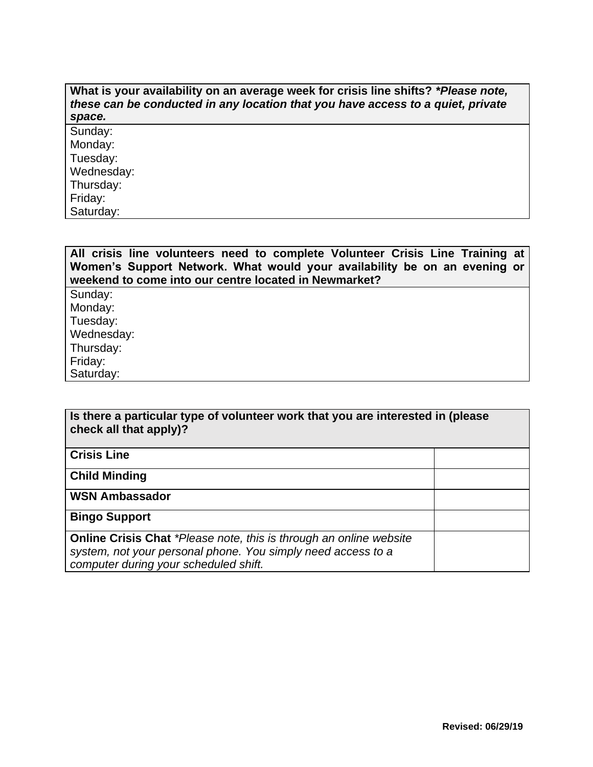#### **What is your availability on an average week for crisis line shifts?** *\*Please note, these can be conducted in any location that you have access to a quiet, private space.*

Sunday: Monday: Tuesday: Wednesday: Thursday: Friday: Saturday:

**All crisis line volunteers need to complete Volunteer Crisis Line Training at Women's Support Network. What would your availability be on an evening or weekend to come into our centre located in Newmarket?** Sunday:

Monday: Tuesday: Wednesday: Thursday: Friday: Saturday:

| Is there a particular type of volunteer work that you are interested in (please<br>check all that apply)?                                                                   |  |  |
|-----------------------------------------------------------------------------------------------------------------------------------------------------------------------------|--|--|
| <b>Crisis Line</b>                                                                                                                                                          |  |  |
| <b>Child Minding</b>                                                                                                                                                        |  |  |
| <b>WSN Ambassador</b>                                                                                                                                                       |  |  |
| <b>Bingo Support</b>                                                                                                                                                        |  |  |
| Online Crisis Chat *Please note, this is through an online website<br>system, not your personal phone. You simply need access to a<br>computer during your scheduled shift. |  |  |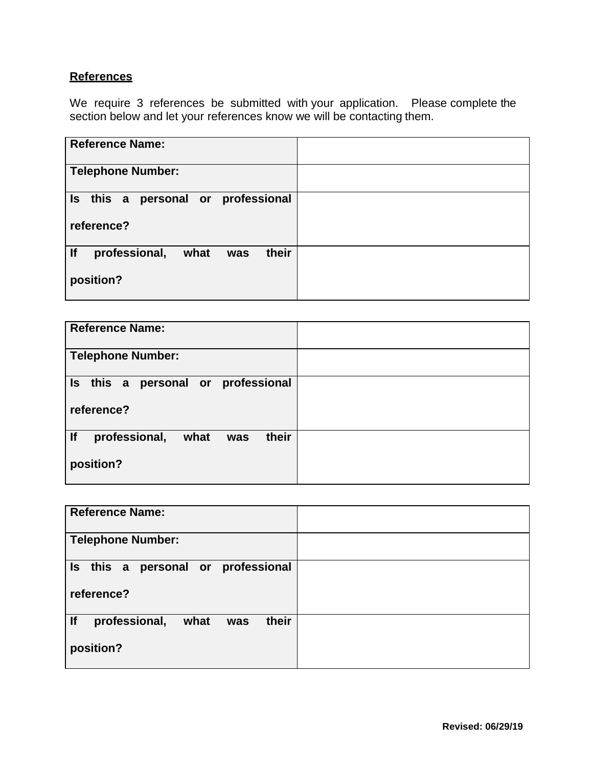### **References**

We require 3 references be submitted with your application. Please complete the section below and let your references know we will be contacting them.

| <b>Reference Name:</b>                          |  |
|-------------------------------------------------|--|
|                                                 |  |
| <b>Telephone Number:</b>                        |  |
|                                                 |  |
| Is this a personal or professional              |  |
|                                                 |  |
| reference?                                      |  |
|                                                 |  |
| $ $ If<br>professional,<br>their<br>what<br>was |  |
|                                                 |  |
| position?                                       |  |
|                                                 |  |
|                                                 |  |

| <b>Reference Name:</b>                    |  |
|-------------------------------------------|--|
| <b>Telephone Number:</b>                  |  |
| Is this a personal or professional        |  |
| reference?                                |  |
| <br>their<br>professional,<br>what<br>was |  |
| position?                                 |  |

| <b>Reference Name:</b>                           |  |
|--------------------------------------------------|--|
| <b>Telephone Number:</b>                         |  |
| Is this a personal or professional<br>reference? |  |
| If<br>their<br>professional,<br>what<br>was      |  |
| position?                                        |  |